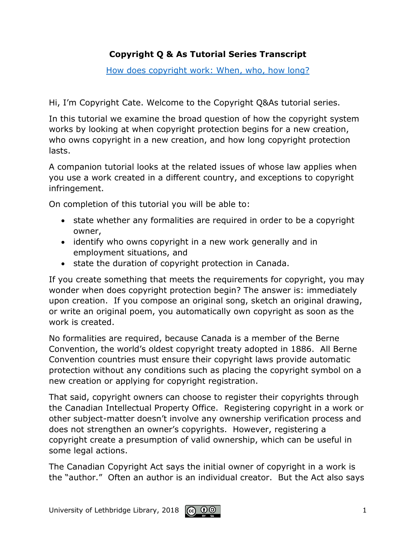## **Copyright Q & As Tutorial Series Transcript**

[How does copyright work: When, who, how long?](http://www.uleth.ca/lib/copyright/Copyright%20Q&A/How%20does%20copyright%20work%20WWHow/index.html)

Hi, I'm Copyright Cate. Welcome to the Copyright Q&As tutorial series.

In this tutorial we examine the broad question of how the copyright system works by looking at when copyright protection begins for a new creation, who owns copyright in a new creation, and how long copyright protection lasts.

A companion tutorial looks at the related issues of whose law applies when you use a work created in a different country, and exceptions to copyright infringement.

On completion of this tutorial you will be able to:

- state whether any formalities are required in order to be a copyright owner,
- identify who owns copyright in a new work generally and in employment situations, and
- state the duration of copyright protection in Canada.

If you create something that meets the requirements for copyright, you may wonder when does copyright protection begin? The answer is: immediately upon creation. If you compose an original song, sketch an original drawing, or write an original poem, you automatically own copyright as soon as the work is created.

No formalities are required, because Canada is a member of the Berne Convention, the world's oldest copyright treaty adopted in 1886. All Berne Convention countries must ensure their copyright laws provide automatic protection without any conditions such as placing the copyright symbol on a new creation or applying for copyright registration.

That said, copyright owners can choose to register their copyrights through the Canadian Intellectual Property Office. Registering copyright in a work or other subject-matter doesn't involve any ownership verification process and does not strengthen an owner's copyrights. However, registering a copyright create a presumption of valid ownership, which can be useful in some legal actions.

The Canadian Copyright Act says the initial owner of copyright in a work is the "author." Often an author is an individual creator. But the Act also says

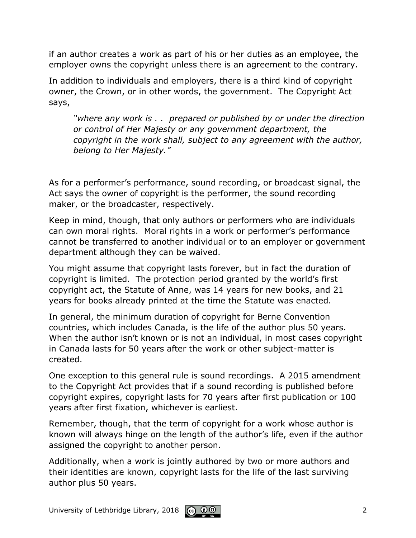if an author creates a work as part of his or her duties as an employee, the employer owns the copyright unless there is an agreement to the contrary.

In addition to individuals and employers, there is a third kind of copyright owner, the Crown, or in other words, the government. The Copyright Act says,

*"where any work is . . prepared or published by or under the direction or control of Her Majesty or any government department, the copyright in the work shall, subject to any agreement with the author, belong to Her Majesty."*

As for a performer's performance, sound recording, or broadcast signal, the Act says the owner of copyright is the performer, the sound recording maker, or the broadcaster, respectively.

Keep in mind, though, that only authors or performers who are individuals can own moral rights. Moral rights in a work or performer's performance cannot be transferred to another individual or to an employer or government department although they can be waived.

You might assume that copyright lasts forever, but in fact the duration of copyright is limited. The protection period granted by the world's first copyright act, the Statute of Anne, was 14 years for new books, and 21 years for books already printed at the time the Statute was enacted.

In general, the minimum duration of copyright for Berne Convention countries, which includes Canada, is the life of the author plus 50 years. When the author isn't known or is not an individual, in most cases copyright in Canada lasts for 50 years after the work or other subject-matter is created.

One exception to this general rule is sound recordings. A 2015 amendment to the Copyright Act provides that if a sound recording is published before copyright expires, copyright lasts for 70 years after first publication or 100 years after first fixation, whichever is earliest.

Remember, though, that the term of copyright for a work whose author is known will always hinge on the length of the author's life, even if the author assigned the copyright to another person.

Additionally, when a work is jointly authored by two or more authors and their identities are known, copyright lasts for the life of the last surviving author plus 50 years.